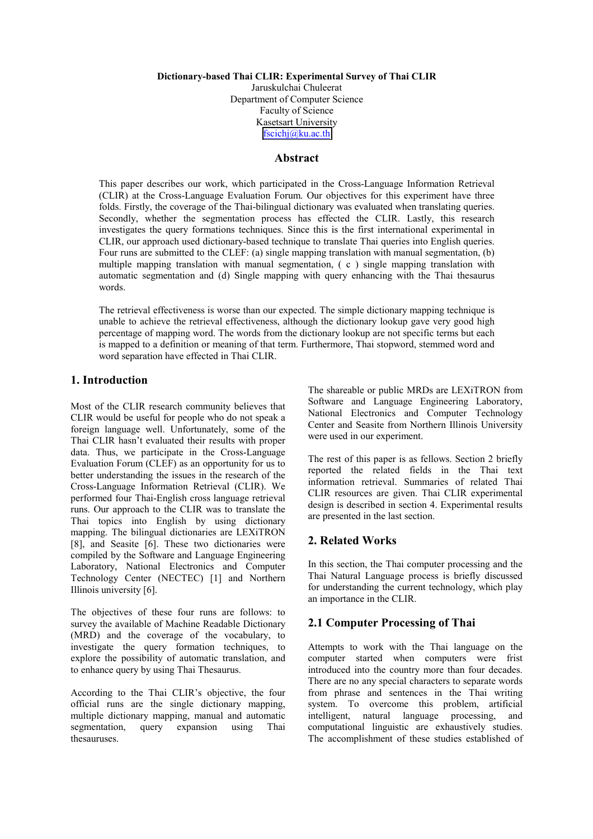#### **Dictionary-based Thai CLIR: Experimental Survey of Thai CLIR**

Jaruskulchai Chuleerat Department of Computer Science Faculty of Science Kasetsart University [fscichj@ku.ac.th](mailto:fscichj@ku.ac.th)

## **Abstract**

This paper describes our work, which participated in the Cross-Language Information Retrieval (CLIR) at the Cross-Language Evaluation Forum. Our objectives for this experiment have three folds. Firstly, the coverage of the Thai-bilingual dictionary was evaluated when translating queries. Secondly, whether the segmentation process has effected the CLIR. Lastly, this research investigates the query formations techniques. Since this is the first international experimental in CLIR, our approach used dictionary-based technique to translate Thai queries into English queries. Four runs are submitted to the CLEF: (a) single mapping translation with manual segmentation, (b) multiple mapping translation with manual segmentation, ( c ) single mapping translation with automatic segmentation and (d) Single mapping with query enhancing with the Thai thesaurus words.

The retrieval effectiveness is worse than our expected. The simple dictionary mapping technique is unable to achieve the retrieval effectiveness, although the dictionary lookup gave very good high percentage of mapping word. The words from the dictionary lookup are not specific terms but each is mapped to a definition or meaning of that term. Furthermore, Thai stopword, stemmed word and word separation have effected in Thai CLIR.

## **1. Introduction**

Most of the CLIR research community believes that CLIR would be useful for people who do not speak a foreign language well. Unfortunately, some of the Thai CLIR hasn't evaluated their results with proper data. Thus, we participate in the Cross-Language Evaluation Forum (CLEF) as an opportunity for us to better understanding the issues in the research of the Cross-Language Information Retrieval (CLIR). We performed four Thai-English cross language retrieval runs. Our approach to the CLIR was to translate the Thai topics into English by using dictionary mapping. The bilingual dictionaries are LEXiTRON [8], and Seasite [6]. These two dictionaries were compiled by the Software and Language Engineering Laboratory, National Electronics and Computer Technology Center (NECTEC) [1] and Northern Illinois university [6].

The objectives of these four runs are follows: to survey the available of Machine Readable Dictionary (MRD) and the coverage of the vocabulary, to investigate the query formation techniques, to explore the possibility of automatic translation, and to enhance query by using Thai Thesaurus.

According to the Thai CLIR's objective, the four official runs are the single dictionary mapping, multiple dictionary mapping, manual and automatic segmentation, query expansion using Thai thesauruses.

The shareable or public MRDs are LEXiTRON from Software and Language Engineering Laboratory, National Electronics and Computer Technology Center and Seasite from Northern Illinois University were used in our experiment.

The rest of this paper is as fellows. Section 2 briefly reported the related fields in the Thai text information retrieval. Summaries of related Thai CLIR resources are given. Thai CLIR experimental design is described in section 4. Experimental results are presented in the last section.

## **2. Related Works**

In this section, the Thai computer processing and the Thai Natural Language process is briefly discussed for understanding the current technology, which play an importance in the CLIR.

## **2.1 Computer Processing of Thai**

Attempts to work with the Thai language on the computer started when computers were frist introduced into the country more than four decades. There are no any special characters to separate words from phrase and sentences in the Thai writing system. To overcome this problem, artificial intelligent, natural language processing, and computational linguistic are exhaustively studies. The accomplishment of these studies established of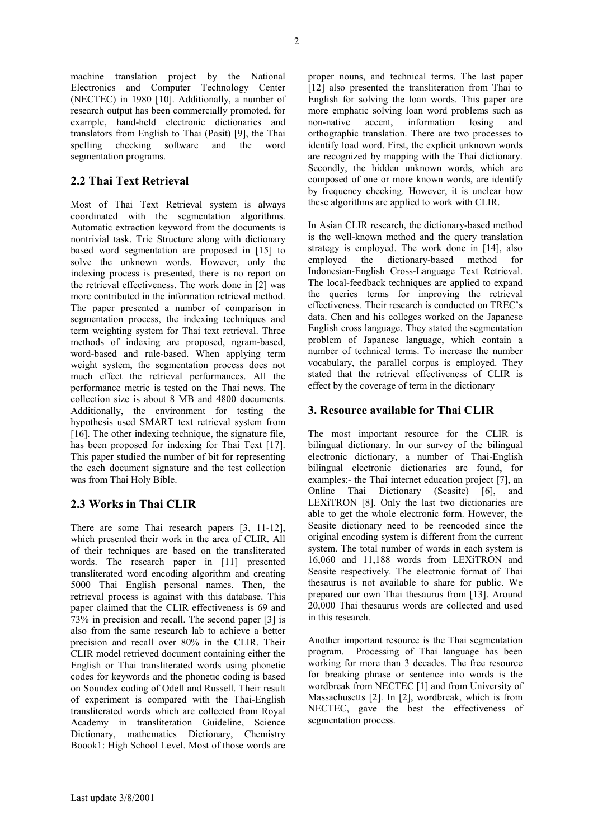machine translation project by the National Electronics and Computer Technology Center (NECTEC) in 1980 [10]. Additionally, a number of research output has been commercially promoted, for example, hand-held electronic dictionaries and translators from English to Thai (Pasit) [9], the Thai spelling checking software and the word segmentation programs.

# **2.2 Thai Text Retrieval**

Most of Thai Text Retrieval system is always coordinated with the segmentation algorithms. Automatic extraction keyword from the documents is nontrivial task. Trie Structure along with dictionary based word segmentation are proposed in [15] to solve the unknown words. However, only the indexing process is presented, there is no report on the retrieval effectiveness. The work done in [2] was more contributed in the information retrieval method. The paper presented a number of comparison in segmentation process, the indexing techniques and term weighting system for Thai text retrieval. Three methods of indexing are proposed, ngram-based, word-based and rule-based. When applying term weight system, the segmentation process does not much effect the retrieval performances. All the performance metric is tested on the Thai news. The collection size is about 8 MB and 4800 documents. Additionally, the environment for testing the hypothesis used SMART text retrieval system from [16]. The other indexing technique, the signature file, has been proposed for indexing for Thai Text [17]. This paper studied the number of bit for representing the each document signature and the test collection was from Thai Holy Bible.

## **2.3 Works in Thai CLIR**

There are some Thai research papers [3, 11-12], which presented their work in the area of CLIR. All of their techniques are based on the transliterated words. The research paper in [11] presented transliterated word encoding algorithm and creating 5000 Thai English personal names. Then, the retrieval process is against with this database. This paper claimed that the CLIR effectiveness is 69 and 73% in precision and recall. The second paper [3] is also from the same research lab to achieve a better precision and recall over 80% in the CLIR. Their CLIR model retrieved document containing either the English or Thai transliterated words using phonetic codes for keywords and the phonetic coding is based on Soundex coding of Odell and Russell. Their result of experiment is compared with the Thai-English transliterated words which are collected from Royal Academy in transliteration Guideline, Science Dictionary, mathematics Dictionary, Chemistry Boook1: High School Level. Most of those words are

proper nouns, and technical terms. The last paper [12] also presented the transliteration from Thai to English for solving the loan words. This paper are more emphatic solving loan word problems such as non-native accent, information losing and orthographic translation. There are two processes to identify load word. First, the explicit unknown words are recognized by mapping with the Thai dictionary. Secondly, the hidden unknown words, which are composed of one or more known words, are identify by frequency checking. However, it is unclear how these algorithms are applied to work with CLIR.

In Asian CLIR research, the dictionary-based method is the well-known method and the query translation strategy is employed. The work done in [14], also employed the dictionary-based method for Indonesian-English Cross-Language Text Retrieval. The local-feedback techniques are applied to expand the queries terms for improving the retrieval effectiveness. Their research is conducted on TREC's data. Chen and his colleges worked on the Japanese English cross language. They stated the segmentation problem of Japanese language, which contain a number of technical terms. To increase the number vocabulary, the parallel corpus is employed. They stated that the retrieval effectiveness of CLIR is effect by the coverage of term in the dictionary

# **3. Resource available for Thai CLIR**

The most important resource for the CLIR is bilingual dictionary. In our survey of the bilingual electronic dictionary, a number of Thai-English bilingual electronic dictionaries are found, for examples:- the Thai internet education project [7], an Online Thai Dictionary (Seasite) [6], and LEXiTRON [8]. Only the last two dictionaries are able to get the whole electronic form. However, the Seasite dictionary need to be reencoded since the original encoding system is different from the current system. The total number of words in each system is 16,060 and 11,188 words from LEXiTRON and Seasite respectively. The electronic format of Thai thesaurus is not available to share for public. We prepared our own Thai thesaurus from [13]. Around 20,000 Thai thesaurus words are collected and used in this research.

Another important resource is the Thai segmentation program. Processing of Thai language has been working for more than 3 decades. The free resource for breaking phrase or sentence into words is the wordbreak from NECTEC [1] and from University of Massachusetts [2]. In [2], wordbreak, which is from NECTEC, gave the best the effectiveness of segmentation process.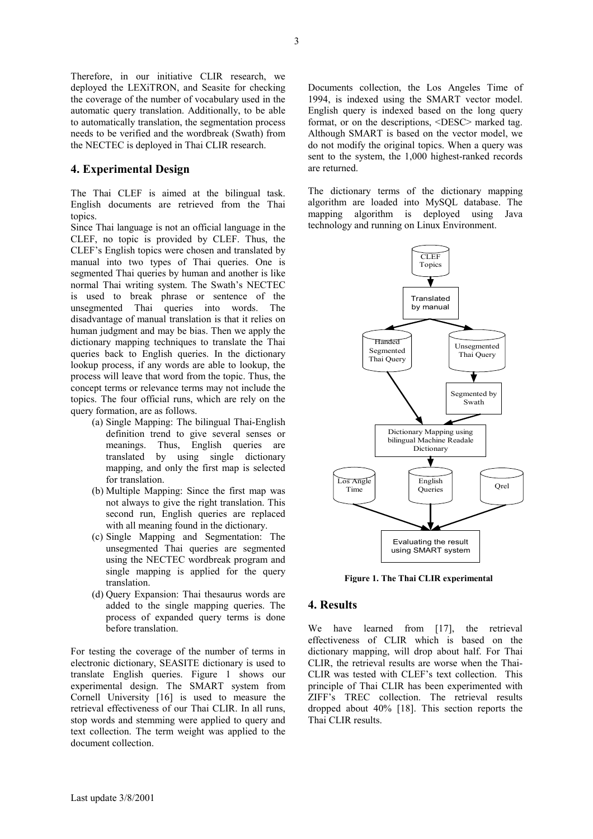Therefore, in our initiative CLIR research, we deployed the LEXiTRON, and Seasite for checking the coverage of the number of vocabulary used in the automatic query translation. Additionally, to be able to automatically translation, the segmentation process needs to be verified and the wordbreak (Swath) from the NECTEC is deployed in Thai CLIR research.

## **4. Experimental Design**

The Thai CLEF is aimed at the bilingual task. English documents are retrieved from the Thai topics.

Since Thai language is not an official language in the CLEF, no topic is provided by CLEF. Thus, the CLEF's English topics were chosen and translated by manual into two types of Thai queries. One is segmented Thai queries by human and another is like normal Thai writing system. The Swath's NECTEC is used to break phrase or sentence of the unsegmented Thai queries into words. The disadvantage of manual translation is that it relies on human judgment and may be bias. Then we apply the dictionary mapping techniques to translate the Thai queries back to English queries. In the dictionary lookup process, if any words are able to lookup, the process will leave that word from the topic. Thus, the concept terms or relevance terms may not include the topics. The four official runs, which are rely on the query formation, are as follows.

- (a) Single Mapping: The bilingual Thai-English definition trend to give several senses or meanings. Thus, English queries are translated by using single dictionary mapping, and only the first map is selected for translation.
- (b) Multiple Mapping: Since the first map was not always to give the right translation. This second run, English queries are replaced with all meaning found in the dictionary.
- (c) Single Mapping and Segmentation: The unsegmented Thai queries are segmented using the NECTEC wordbreak program and single mapping is applied for the query translation.
- (d) Query Expansion: Thai thesaurus words are added to the single mapping queries. The process of expanded query terms is done before translation.

For testing the coverage of the number of terms in electronic dictionary, SEASITE dictionary is used to translate English queries. Figure 1 shows our experimental design. The SMART system from Cornell University [16] is used to measure the retrieval effectiveness of our Thai CLIR. In all runs, stop words and stemming were applied to query and text collection. The term weight was applied to the document collection.

Documents collection, the Los Angeles Time of 1994, is indexed using the SMART vector model. English query is indexed based on the long query format, or on the descriptions, <DESC> marked tag. Although SMART is based on the vector model, we do not modify the original topics. When a query was sent to the system, the 1,000 highest-ranked records are returned.

The dictionary terms of the dictionary mapping algorithm are loaded into MySQL database. The mapping algorithm is deployed using Java technology and running on Linux Environment.



**Figure 1. The Thai CLIR experimental**

#### **4. Results**

We have learned from [17], the retrieval effectiveness of CLIR which is based on the dictionary mapping, will drop about half. For Thai CLIR, the retrieval results are worse when the Thai-CLIR was tested with CLEF's text collection. This principle of Thai CLIR has been experimented with ZIFF's TREC collection. The retrieval results dropped about 40% [18]. This section reports the Thai CLIR results.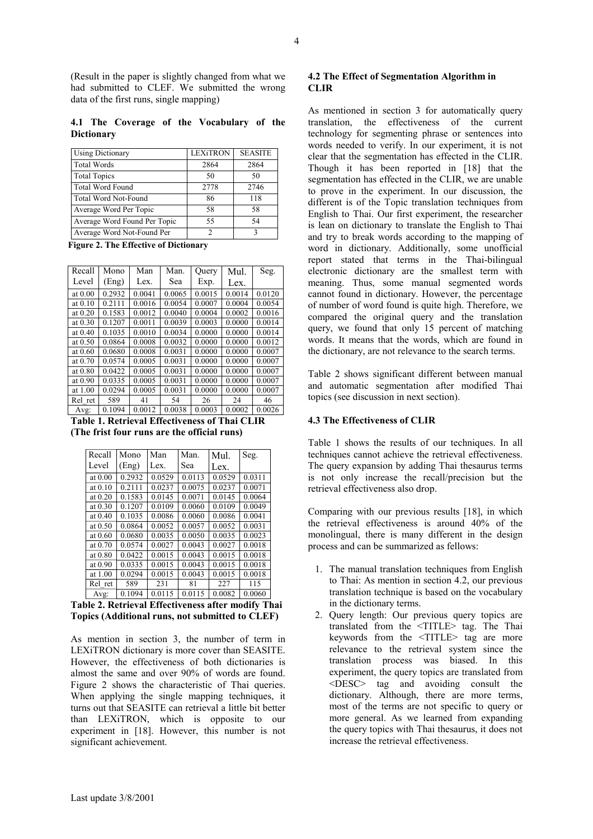(Result in the paper is slightly changed from what we had submitted to CLEF. We submitted the wrong data of the first runs, single mapping)

**4.1 The Coverage of the Vocabulary of the Dictionary** 

| <b>Using Dictionary</b>      | <b>LEXiTRON</b> | <b>SEASITE</b> |
|------------------------------|-----------------|----------------|
| <b>Total Words</b>           | 2864            | 2864           |
| <b>Total Topics</b>          | 50              | 50             |
| <b>Total Word Found</b>      | 2778            | 2746           |
| <b>Total Word Not-Found</b>  | 86              | 118            |
| Average Word Per Topic       | 58              | 58             |
| Average Word Found Per Topic | 55              | 54             |
| Average Word Not-Found Per   | 2               | 2              |

**Figure 2. The Effective of Dictionary** 

| Recall                                        | Mono   | Man    | Man.   | Query  | Mul.   | Seg.   |  |
|-----------------------------------------------|--------|--------|--------|--------|--------|--------|--|
| Level                                         | (Eng)  | Lex.   | Sea    | Exp.   | Lex.   |        |  |
| at 0.00                                       | 0.2932 | 0.0041 | 0.0065 | 0.0015 | 0.0014 | 0.0120 |  |
| at 0.10                                       | 0.2111 | 0.0016 | 0.0054 | 0.0007 | 0.0004 | 0.0054 |  |
| at $0.20$                                     | 0.1583 | 0.0012 | 0.0040 | 0.0004 | 0.0002 | 0.0016 |  |
| at $0.30$                                     | 0.1207 | 0.0011 | 0.0039 | 0.0003 | 0.0000 | 0.0014 |  |
| at $0.40$                                     | 0.1035 | 0.0010 | 0.0034 | 0.0000 | 0.0000 | 0.0014 |  |
| at 0.50                                       | 0.0864 | 0.0008 | 0.0032 | 0.0000 | 0.0000 | 0.0012 |  |
| at $0.60$                                     | 0.0680 | 0.0008 | 0.0031 | 0.0000 | 0.0000 | 0.0007 |  |
| at 0.70                                       | 0.0574 | 0.0005 | 0.0031 | 0.0000 | 0.0000 | 0.0007 |  |
| at 0.80                                       | 0.0422 | 0.0005 | 0.0031 | 0.0000 | 0.0000 | 0.0007 |  |
| at $0.90$                                     | 0.0335 | 0.0005 | 0.0031 | 0.0000 | 0.0000 | 0.0007 |  |
| at 1.00                                       | 0.0294 | 0.0005 | 0.0031 | 0.0000 | 0.0000 | 0.0007 |  |
| Rel ret                                       | 589    | 41     | 54     | 26     | 24     | 46     |  |
| Avg:                                          | 0.1094 | 0.0012 | 0.0038 | 0.0003 | 0.0002 | 0.0026 |  |
| Table 1. Retrieval Effectiveness of Thai CLIR |        |        |        |        |        |        |  |

**(The frist four runs are the official runs)** 

| Recall    | Mono   | Man    | Man.   | Mul.   | Seg.   |
|-----------|--------|--------|--------|--------|--------|
| Level     | (Eng)  | Lex.   | Sea    | Lex.   |        |
| at $0.00$ | 0.2932 | 0.0529 | 0.0113 | 0.0529 | 0.0311 |
| at $0.10$ | 0.2111 | 0.0237 | 0.0075 | 0.0237 | 0.0071 |
| at 0.20   | 0.1583 | 0.0145 | 0.0071 | 0.0145 | 0.0064 |
| at $0.30$ | 0.1207 | 0.0109 | 0.0060 | 0.0109 | 0.0049 |
| at $0.40$ | 0.1035 | 0.0086 | 0.0060 | 0.0086 | 0.0041 |
| at $0.50$ | 0.0864 | 0.0052 | 0.0057 | 0.0052 | 0.0031 |
| at $0.60$ | 0.0680 | 0.0035 | 0.0050 | 0.0035 | 0.0023 |
| at 0.70   | 0.0574 | 0.0027 | 0.0043 | 0.0027 | 0.0018 |
| at 0.80   | 0.0422 | 0.0015 | 0.0043 | 0.0015 | 0.0018 |
| at 0.90   | 0.0335 | 0.0015 | 0.0043 | 0.0015 | 0.0018 |
| at 1.00   | 0.0294 | 0.0015 | 0.0043 | 0.0015 | 0.0018 |
| Rel ret   | 589    | 231    | 81     | 227    | 115    |
| Avg:      | 0.1094 | 0.0115 | 0.0115 | 0.0082 | 0.0060 |

**Table 2. Retrieval Effectiveness after modify Thai Topics (Additional runs, not submitted to CLEF)** 

As mention in section 3, the number of term in LEXiTRON dictionary is more cover than SEASITE. However, the effectiveness of both dictionaries is almost the same and over 90% of words are found. Figure 2 shows the characteristic of Thai queries. When applying the single mapping techniques, it turns out that SEASITE can retrieval a little bit better than LEXiTRON, which is opposite to our experiment in [18]. However, this number is not significant achievement.

#### **4.2 The Effect of Segmentation Algorithm in CLIR**

As mentioned in section 3 for automatically query translation, the effectiveness of the current technology for segmenting phrase or sentences into words needed to verify. In our experiment, it is not clear that the segmentation has effected in the CLIR. Though it has been reported in [18] that the segmentation has effected in the CLIR, we are unable to prove in the experiment. In our discussion, the different is of the Topic translation techniques from English to Thai. Our first experiment, the researcher is lean on dictionary to translate the English to Thai and try to break words according to the mapping of word in dictionary. Additionally, some unofficial report stated that terms in the Thai-bilingual electronic dictionary are the smallest term with meaning. Thus, some manual segmented words cannot found in dictionary. However, the percentage of number of word found is quite high. Therefore, we compared the original query and the translation query, we found that only 15 percent of matching words. It means that the words, which are found in the dictionary, are not relevance to the search terms.

Table 2 shows significant different between manual and automatic segmentation after modified Thai topics (see discussion in next section).

#### **4.3 The Effectiveness of CLIR**

Table 1 shows the results of our techniques. In all techniques cannot achieve the retrieval effectiveness. The query expansion by adding Thai thesaurus terms is not only increase the recall/precision but the retrieval effectiveness also drop.

Comparing with our previous results [18], in which the retrieval effectiveness is around 40% of the monolingual, there is many different in the design process and can be summarized as fellows:

- 1. The manual translation techniques from English to Thai: As mention in section 4.2, our previous translation technique is based on the vocabulary in the dictionary terms.
- 2. Query length: Our previous query topics are translated from the <TITLE> tag. The Thai keywords from the <TITLE> tag are more relevance to the retrieval system since the translation process was biased. In this experiment, the query topics are translated from <DESC> tag and avoiding consult the dictionary. Although, there are more terms, most of the terms are not specific to query or more general. As we learned from expanding the query topics with Thai thesaurus, it does not increase the retrieval effectiveness.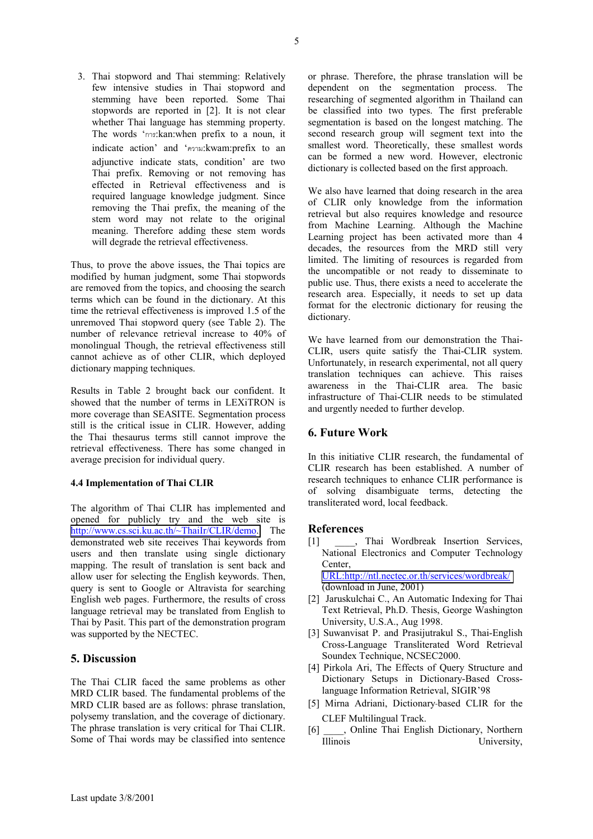3. Thai stopword and Thai stemming: Relatively few intensive studies in Thai stopword and stemming have been reported. Some Thai stopwords are reported in [2]. It is not clear whether Thai language has stemming property. The words 'การ:kan:when prefix to a noun, it indicate action' and 'ความ:kwam:prefix to an adjunctive indicate stats, condition' are two Thai prefix. Removing or not removing has effected in Retrieval effectiveness and is required language knowledge judgment. Since removing the Thai prefix, the meaning of the stem word may not relate to the original meaning. Therefore adding these stem words will degrade the retrieval effectiveness.

Thus, to prove the above issues, the Thai topics are modified by human judgment, some Thai stopwords are removed from the topics, and choosing the search terms which can be found in the dictionary. At this time the retrieval effectiveness is improved 1.5 of the unremoved Thai stopword query (see Table 2). The number of relevance retrieval increase to 40% of monolingual Though, the retrieval effectiveness still cannot achieve as of other CLIR, which deployed dictionary mapping techniques.

Results in Table 2 brought back our confident. It showed that the number of terms in LEXiTRON is more coverage than SEASITE. Segmentation process still is the critical issue in CLIR. However, adding the Thai thesaurus terms still cannot improve the retrieval effectiveness. There has some changed in average precision for individual query.

#### **4.4 Implementation of Thai CLIR**

The algorithm of Thai CLIR has implemented and opened for publicly try and the web site is [http://www.cs.sci.ku.ac.th/~ThaiIr/CLIR/demo.](http://www.cs.sci.ku.ac.th/~ThaiIr/CLIR/demo) The demonstrated web site receives Thai keywords from users and then translate using single dictionary mapping. The result of translation is sent back and allow user for selecting the English keywords. Then, query is sent to Google or Altravista for searching English web pages. Furthermore, the results of cross language retrieval may be translated from English to Thai by Pasit. This part of the demonstration program was supported by the NECTEC.

## **5. Discussion**

The Thai CLIR faced the same problems as other MRD CLIR based. The fundamental problems of the MRD CLIR based are as follows: phrase translation, polysemy translation, and the coverage of dictionary. The phrase translation is very critical for Thai CLIR. Some of Thai words may be classified into sentence or phrase. Therefore, the phrase translation will be dependent on the segmentation process. The researching of segmented algorithm in Thailand can be classified into two types. The first preferable segmentation is based on the longest matching. The second research group will segment text into the smallest word. Theoretically, these smallest words can be formed a new word. However, electronic dictionary is collected based on the first approach.

We also have learned that doing research in the area of CLIR only knowledge from the information retrieval but also requires knowledge and resource from Machine Learning. Although the Machine Learning project has been activated more than 4 decades, the resources from the MRD still very limited. The limiting of resources is regarded from the uncompatible or not ready to disseminate to public use. Thus, there exists a need to accelerate the research area. Especially, it needs to set up data format for the electronic dictionary for reusing the dictionary.

We have learned from our demonstration the Thai-CLIR, users quite satisfy the Thai-CLIR system. Unfortunately, in research experimental, not all query translation techniques can achieve. This raises awareness in the Thai-CLIR area. The basic infrastructure of Thai-CLIR needs to be stimulated and urgently needed to further develop.

## **6. Future Work**

In this initiative CLIR research, the fundamental of CLIR research has been established. A number of research techniques to enhance CLIR performance is of solving disambiguate terms, detecting the transliterated word, local feedback.

## **References**

- [1] Thai Wordbreak Insertion Services, National Electronics and Computer Technology Center, [URL:http://ntl.nectec.or.th/services/wordbreak/](http://ntl.nectec.or.th/services/wordbreak/) (download in June, 2001)
- [2] Jaruskulchai C., An Automatic Indexing for Thai Text Retrieval, Ph.D. Thesis, George Washington University, U.S.A., Aug 1998.
- [3] Suwanvisat P. and Prasijutrakul S., Thai-English Cross-Language Transliterated Word Retrieval Soundex Technique, NCSEC2000.
- [4] Pirkola Ari, The Effects of Query Structure and Dictionary Setups in Dictionary-Based Crosslanguage Information Retrieval, SIGIR'98
- [5] Mirna Adriani, Dictionary-based CLIR for the CLEF Multilingual Track.
- [6]  $\qquad$ , Online Thai English Dictionary, Northern Illinois University,